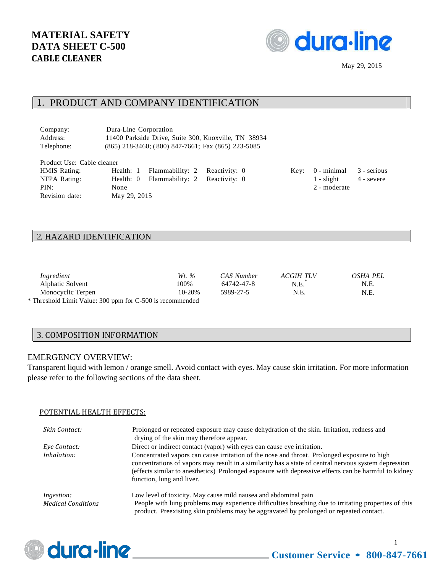

# 1. PRODUCT AND COMPANY IDENTIFICATION

| Company:   | Dura-Line Corporation                                    |
|------------|----------------------------------------------------------|
| Address:   | 11400 Parkside Drive, Suite 300, Knoxville, TN 38934     |
| Telephone: | $(865)$ 218-3460; $(800)$ 847-7661; Fax $(865)$ 223-5085 |

| Product Use: Cable cleaner |              |                                         |  |                                  |            |
|----------------------------|--------------|-----------------------------------------|--|----------------------------------|------------|
| <b>HMIS Rating:</b>        |              | Health: 1 Flammability: 2 Reactivity: 0 |  | Key: $0$ - minimal $3$ - serious |            |
| NFPA Rating:               |              | Health: 0 Flammability: 2 Reactivity: 0 |  | $1 -$ slight                     | 4 - severe |
| PIN:                       | None         |                                         |  | 2 - moderate                     |            |
| Revision date:             | May 29, 2015 |                                         |  |                                  |            |

#### 2. HAZARD IDENTIFICATION

| Ingredient                                                | <u>Wt. %</u> | CAS Number | ACGIH TLV | OSHA PEL |
|-----------------------------------------------------------|--------------|------------|-----------|----------|
| Alphatic Solvent                                          | 100%         | 64742-47-8 | N.E.      | N.E.     |
| Monocyclic Terpen                                         | 10-20%       | 5989-27-5  | N.E.      | N.E.     |
| * Threshold Limit Value: 300 ppm for C-500 is recommended |              |            |           |          |

#### 3. COMPOSITION INFORMATION

#### EMERGENCY OVERVIEW:

Transparent liquid with lemon / orange smell. Avoid contact with eyes. May cause skin irritation. For more information please refer to the following sections of the data sheet.

#### POTENTIAL HEALTH EFFECTS:

| Skin Contact:                                  | Prolonged or repeated exposure may cause dehydration of the skin. Irritation, redness and<br>drying of the skin may therefore appear.                                                                                                                                                                                                    |
|------------------------------------------------|------------------------------------------------------------------------------------------------------------------------------------------------------------------------------------------------------------------------------------------------------------------------------------------------------------------------------------------|
| Eye Contact:                                   | Direct or indirect contact (vapor) with eyes can cause eye irritation.                                                                                                                                                                                                                                                                   |
| Inhalation:                                    | Concentrated vapors can cause irritation of the nose and throat. Prolonged exposure to high<br>concentrations of vapors may result in a similarity has a state of central nervous system depression<br>(effects similar to anesthetics) Prolonged exposure with depressive effects can be harmful to kidney<br>function, lung and liver. |
| <i>Ingestion:</i><br><b>Medical Conditions</b> | Low level of toxicity. May cause mild nausea and abdominal pain<br>People with lung problems may experience difficulties breathing due to irritating properties of this<br>product. Preexisting skin problems may be aggravated by prolonged or repeated contact.                                                                        |



1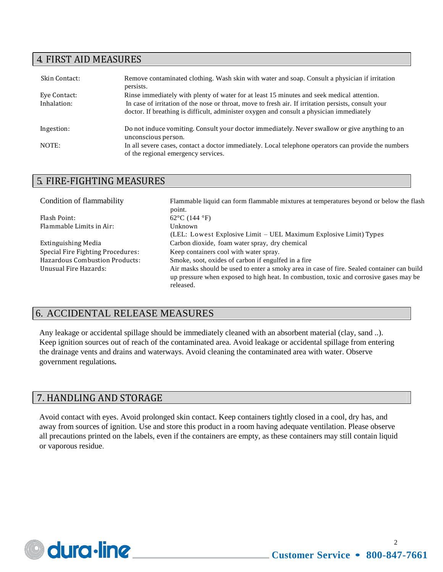# 4. FIRST AID MEASURES

| Skin Contact: | Remove contaminated clothing. Wash skin with water and soap. Consult a physician if irritation<br>persists.                                                                                      |
|---------------|--------------------------------------------------------------------------------------------------------------------------------------------------------------------------------------------------|
| Eye Contact:  | Rinse immediately with plenty of water for at least 15 minutes and seek medical attention.                                                                                                       |
| Inhalation:   | In case of irritation of the nose or throat, move to fresh air. If irritation persists, consult your<br>doctor. If breathing is difficult, administer oxygen and consult a physician immediately |
| Ingestion:    | Do not induce vomiting. Consult your doctor immediately. Never swallow or give anything to an<br>unconscious person.                                                                             |
| NOTE:         | In all severe cases, contact a doctor immediately. Local telephone operators can provide the numbers<br>of the regional emergency services.                                                      |

# 5. FIRE-FIGHTING MEASURES

| Condition of flammability             | Flammable liquid can form flammable mixtures at temperatures beyond or below the flash                                                                                                            |
|---------------------------------------|---------------------------------------------------------------------------------------------------------------------------------------------------------------------------------------------------|
|                                       | point.                                                                                                                                                                                            |
| Flash Point:                          | 62 $\rm{^{\circ}C}$ (144 $\rm{^{\circ}F}$ )                                                                                                                                                       |
| Flammable Limits in Air:              | Unknown                                                                                                                                                                                           |
|                                       | (LEL: Lowest Explosive Limit – UEL Maximum Explosive Limit) Types                                                                                                                                 |
| Extinguishing Media                   | Carbon dioxide, foam water spray, dry chemical                                                                                                                                                    |
| Special Fire Fighting Procedures:     | Keep containers cool with water spray.                                                                                                                                                            |
| <b>Hazardous Combustion Products:</b> | Smoke, soot, oxides of carbon if engulfed in a fire.                                                                                                                                              |
| Unusual Fire Hazards:                 | Air masks should be used to enter a smoky area in case of fire. Sealed container can build<br>up pressure when exposed to high heat. In combustion, toxic and corrosive gases may be<br>released. |
|                                       |                                                                                                                                                                                                   |

# 6. ACCIDENTAL RELEASE MEASURES

Any leakage or accidental spillage should be immediately cleaned with an absorbent material (clay, sand ..). Keep ignition sources out of reach of the contaminated area. Avoid leakage or accidental spillage from entering the drainage vents and drains and waterways. Avoid cleaning the contaminated area with water. Observe government regulations**.**

# 7. HANDLING AND STORAGE

Avoid contact with eyes. Avoid prolonged skin contact. Keep containers tightly closed in a cool, dry has, and away from sources of ignition. Use and store this product in a room having adequate ventilation. Please observe all precautions printed on the labels, even if the containers are empty, as these containers may still contain liquid or vaporous residue.

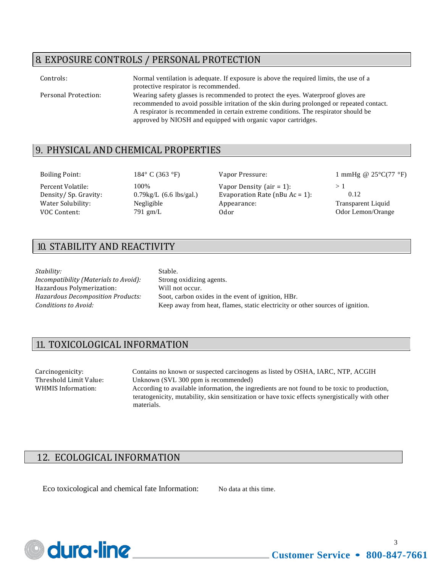# 8. EXPOSURE CONTROLS / PERSONAL PROTECTION

| Controls:            | Normal ventilation is adequate. If exposure is above the required limits, the use of a<br>protective respirator is recommended.                                                                                                                                                                                                        |
|----------------------|----------------------------------------------------------------------------------------------------------------------------------------------------------------------------------------------------------------------------------------------------------------------------------------------------------------------------------------|
| Personal Protection: | Wearing safety glasses is recommended to protect the eyes. Waterproof gloves are<br>recommended to avoid possible irritation of the skin during prolonged or repeated contact.<br>A respirator is recommended in certain extreme conditions. The respirator should be<br>approved by NIOSH and equipped with organic vapor cartridges. |

### 9. PHYSICAL AND CHEMICAL PROPERTIES

Percent Volatile: 100% Vapor Density (air = 1): > 1 Density/ Sp. Gravity: 0.79kg/L (6.6 lbs/gal.) Evaporation Rate (nBu Ac = 1): 0.12 Water Solubility: Negligible Appearance: Transparent Liquid VOC Content: 791 gm/L 0dor 0dor 0dor 0dor Lemon/Orange

Boiling Point: 184° C (363 °F) Vapor Pressure: 1 mmHg @ 25°C(77 °F)

# 10. STABILITY AND REACTIVITY

*Stability:* Stable.

*Incompatibility (Materials to Avoid):* Strong oxidizing agents. Hazardous Polymerization: Will not occur.

*Hazardous Decomposition Products:* Soot, carbon oxides in the event of ignition, HBr. *Conditions to Avoid:* Keep away from heat, flames, static electricity or other sources of ignition.

# 11. TOXICOLOGICAL INFORMATION

Carcinogenicity: Contains no known or suspected carcinogens as listed by OSHA, IARC, NTP, ACGIH Threshold Limit Value: Unknown (SVL 300 ppm is recommended) WHMIS Information: According to available information, the ingredients are not found to be toxic to production, teratogenicity, mutability, skin sensitization or have toxic effects synergistically with other materials.

# 12. ECOLOGICAL INFORMATION

Eco toxicological and chemical fate Information: No data at this time.